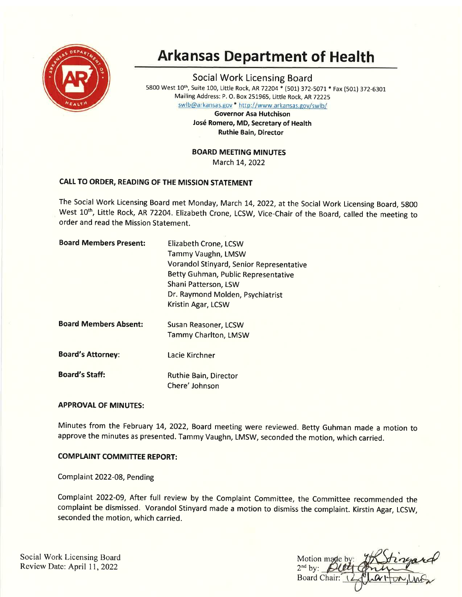

# Arkansas Department of Health

Social Work Licensing Board 5800 West 10<sup>th</sup>, Suite 100, Little Rock, AR 72204 \* (501) 372-5071 \* Fax (501) 372-6301 Mailing Address: P. O. Box 251965, Little Rock, AR 72225

swlb@arkansas.gov \* http://www.arkansas.gov/swlb/

Governor Asa Hutchison José Romero, MD, Secretary of Health Ruthie Bain, Director

## BOARD MEETING MINUTES

March 14, 2022

# CAIL TO ORDER, READING OF THE MISSION STATEMENT

The Social Work Licensing Board met Monday, March 14, 2022, at the Social Work Licensing Board, 5800 West 10<sup>th</sup>, Little Rock, AR 72204. Elizabeth Crone, LCSW, Vice-Chair of the Board, called the meeting to order and read the Mission Statement.

| <b>Elizabeth Crone, LCSW</b><br>Tammy Vaughn, LMSW          |  |
|-------------------------------------------------------------|--|
| Vorandol Stinyard, Senior Representative                    |  |
| Betty Guhman, Public Representative<br>Shani Patterson, LSW |  |
| Dr. Raymond Molden, Psychiatrist<br>Kristin Agar, LCSW      |  |
| Susan Reasoner, LCSW                                        |  |
| Tammy Charlton, LMSW                                        |  |
| Lacie Kirchner                                              |  |
| Ruthie Bain, Director<br>Chere' Johnson                     |  |
|                                                             |  |

## **APPROVAL OF MINUTES:**

Minutes from the February 14, 2022, Board meeting were reviewed. Betty Guhman made a motion to approve the minutes as presented. Tammy Vaughn, LMSW, seconded the motion, which carried.

#### **COMPLAINT COMMITTEE REPORT:**

Complaint 2022-08, Pending

Complaint 2022-09, After full review by the Complaint Committee, the Committee recommended the complaint be dismissed. Vorandol Stinyard made a motion to dismiss the complaint. Kirstin Agar, LCSW, seconded the motion, which carried.

Social Work Licensing Board Review Date: April 11,2022

Motion made b  $2<sup>nd</sup>$  by: Board Chair: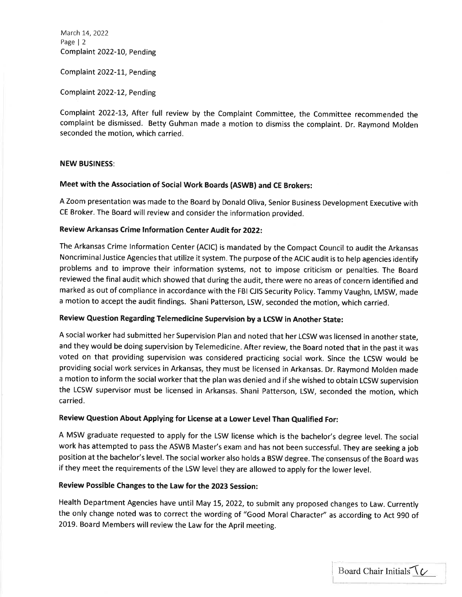March 14, 2022 Page | <sup>2</sup> Complaint 2022-10, Pending

Complaint 2022-11, Pending

Complaint 2022-12, Pending

Complaint 2O22-I3, After full review by the Complaint Committee, the Committee recommended the complaint be dismissed. Betty Guhman made a motion to dismiss the complaint. Dr. Raymond Molden seconded the motion, which carried.

## NEW BUSINESS:

# Meet with the Association of social work Boards (AswB) and cE Brokers:

<sup>A</sup>Zoom presentation was made to the Board by Donald Oliva, Senior Business Development Executive with cE Broker. The Board will review and consider the information provided.

# Review Arkansas Crime lnformation Center Audit for 2022:

The Arkansas Crime lnformation Center (ACIC) is mandated by the Compact Council to audit the Arkansas NoncriminalJustice Agencies that utilize it system. The purpose of the ACIC audit is to help agencies identify problems and to improve their information systems, not to impose criticism or penalties. The Board reviewed the final audit which showed that during the audit, there were no areas of concern identified and marked as out of compliance in accordance with the FBI CJIS Security Policy. Tammy Vaughn, LMSW, made <sup>a</sup>motion to accept the audit findings. Shani Patterson, LSW, seconded the motion, which carried.

#### Review Question Regarding Telemedicine Supervision by a LCSW in Another State:

<sup>A</sup>social worker had submitted her Supervision Plan and noted that her LCSW was licensed in another state, and they would be doing supervision by Telemedicine. After review, the Board noted that in the past it was voted on that providing supervision was considered practicing social work. Since the LCSW would be providing social work services in Arkansas, they must be licensed in Arkansas. Dr. Raymond Molden made <sup>a</sup>motion to inform the social worker that the plan was denied and if she wished to obtain LCSW supervision the LCSW supervisor must be licensed in Arkansas. Shani Patterson, LSW, seconded the motion, which ca rried.

# Review Question About Applying for License at a Lower Level Than Qualified For:

A MSW graduate requested to apply for the LSW license which is the bachelor's degree level. The social work has attempted to pass the ASWB Master's exam and has not been successful. They are seeking a job position at the bachelor's level. The social worker also holds a BSW degree. The consensus of the Board was if they meet the requirements of the LSW level they are allowed to apply for the lower level.

#### Review Possible Changes to the Law for the 2023 Session:

Health Department Agencies have until May 15, 2022, to submit any proposed changes to Law. Currently the only change noted was to correct the wording of "Good Moral Character" as according to Act 990 of 2019. Board Members will review the Law for the April meeting.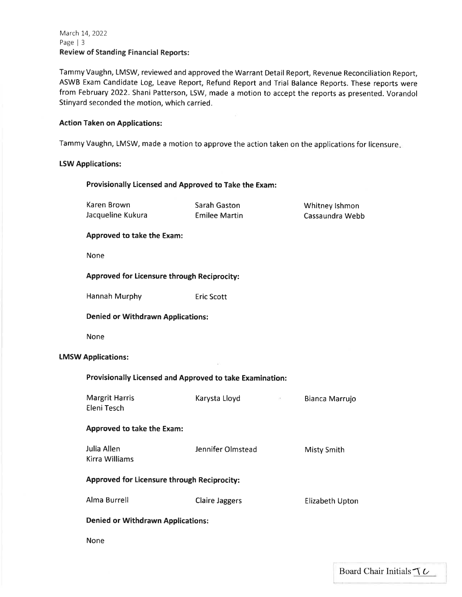## March 14, 2022 Page | <sup>3</sup> Review of Standing Financial Reports:

Tammy Vaughn, LMSW, reviewed and approved the Warrant Detail Report, Revenue Reconciliation Report, ASWB Exam Candidate Log, Leave Report, Refund Report and Trial Balance Reports. These reports were from February 2022. Shani Patterson, LSW, made a motion to accept the reports as presented. Vorandol Stinyard seconded the motion, which carried.

## Action Taken on Applications:

Tammy Vaughn, LMSW, made a motion to approve the action taken on the applications for licensure

#### LSW Applications:

## Provisionally Licensed and Approved to Take the Exam:

| Karen Brown<br>Jacqueline Kukura                         | Sarah Gaston<br><b>Emilee Martin</b> | Whitney Ishmon<br>Cassaundra Webb |  |  |  |
|----------------------------------------------------------|--------------------------------------|-----------------------------------|--|--|--|
| <b>Approved to take the Exam:</b>                        |                                      |                                   |  |  |  |
| None                                                     |                                      |                                   |  |  |  |
| <b>Approved for Licensure through Reciprocity:</b>       |                                      |                                   |  |  |  |
| <b>Hannah Murphy</b>                                     | <b>Eric Scott</b>                    |                                   |  |  |  |
| <b>Denied or Withdrawn Applications:</b>                 |                                      |                                   |  |  |  |
| None                                                     |                                      |                                   |  |  |  |
| <b>LMSW Applications:</b>                                |                                      |                                   |  |  |  |
| Provisionally Licensed and Approved to take Examination: |                                      |                                   |  |  |  |
| <b>Margrit Harris</b><br>Eleni Tesch                     | Karysta Lloyd<br>$\Theta$            | Bianca Marrujo                    |  |  |  |
| <b>Approved to take the Exam:</b>                        |                                      |                                   |  |  |  |
| Julia Allen<br><b>Kirra Williams</b>                     | Jennifer Olmstead                    | <b>Misty Smith</b>                |  |  |  |
| <b>Approved for Licensure through Reciprocity:</b>       |                                      |                                   |  |  |  |
| <b>Alma Burrell</b>                                      | <b>Claire Jaggers</b>                | Elizabeth Upton                   |  |  |  |
| <b>Denied or Withdrawn Applications:</b>                 |                                      |                                   |  |  |  |

None